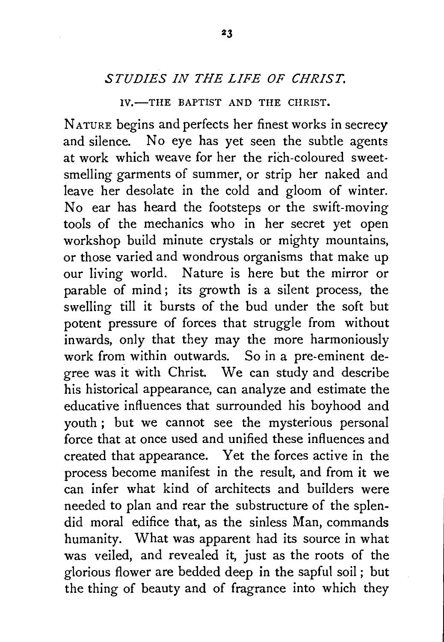## *STUDIES IN THE LIFE OF CHRIST.*

IV.-THE BAPTIST AND THE CHRIST.

NATURE begins and perfects her finest works in secrecy and silence. No eye has yet seen the subtle agents at work which weave for her the rich-coloured sweetsmelling garments of summer, or strip her naked and leave her desolate in the cold and gloom of winter. No ear has heard the footsteps or the swift-moving tools of the mechanics who in her secret yet open workshop build minute crystals or mighty mountains, or those varied and wondrous organisms that make up our living world. Nature is here but the mirror or parable of mind; its growth is a silent process, the swelling till it bursts of the bud under the soft but potent pressure of forces that struggle from without inwards, only that they may the more harmoniously work from within outwards. So in a pre-eminent degree was it with Christ. We can study and describe his historical appearance, can analyze and estimate the educative influences that surrounded his boyhood and youth ; but we cannot see the mysterious personal force that at once used and unified these influences and created that appearance. Yet the forces active in the process become manifest in the result, and from it we can infer what kind of architects and builders were needed to plan and rear the substructure of the splendid moral edifice that, as the sinless Man, commands humanity. What was apparent had its source in what was veiled, and revealed it, just as the roots of the glorious flower are bedded deep in the sapful soil ; but the thing of beauty and of fragrance into which they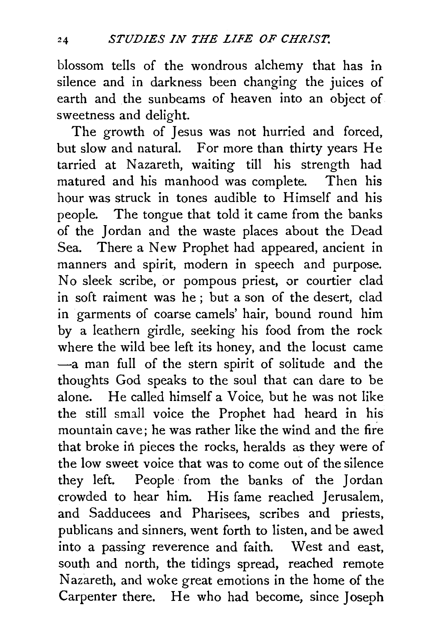blossom tells of the wondrous alchemy that has in silence and in darkness been changing the juices of earth and the sunbeams of heaven into an object of sweetness and delight.

The growth of Jesus was not hurried and forced. but slow and natural. For more than thirty years He tarried at Nazareth, waiting till his strength had matured and his manhood was complete. Then his hour was struck in tones audible to Himself and his people. The tongue that told it came from the banks of the Jordan and the waste places about the Dead Sea. There a New Prophet had appeared, ancient in manners and spirit, modern in speech and purpose. No sleek scribe, or pompous priest, or courtier clad in soft raiment was he ; but a son of the desert, clad in garments of coarse camels' hair, bound round him by a leathern girdle, seeking his food from the rock where the wild bee left its honey, and the locust came -a man full of the stern spirit of solitude and the thoughts God speaks to the soul that can dare to be alone. He called himself a Voice, but he was not like the still small voice the Prophet had heard in his mountain cave; he was rather like the wind and the fire that broke in pieces the rocks, heralds as they were of the low sweet voice that was to come out of the silence they left. People from the banks of the Jordan crowded to hear him. His fame reached Jerusalem, and Sadducees and Pharisees, scribes and priests, publicans and sinners, went forth to listen, and be awed into a passing reverence and faith. West and east, south and north, the tidings spread, reached remote Nazareth, and woke great emotions in the home of the Carpenter there. He who had become, since Joseph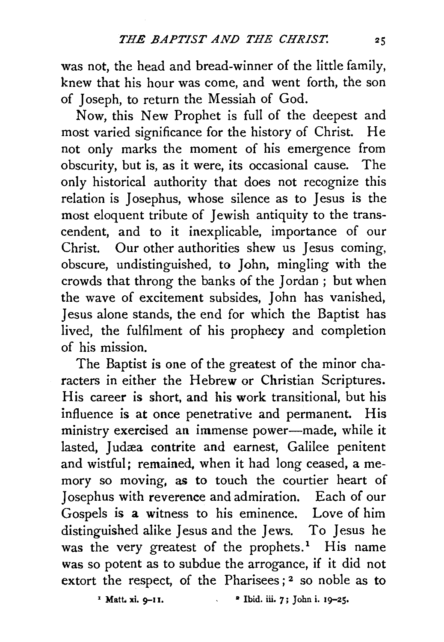was not, the head and bread-winner of the little family, knew that his hour was come, and went forth, the son of Joseph, to return the Messiah of God.

Now, this New Prophet is full of the deepest and most varied significance for the history of Christ. He not only marks the moment of his emergence from obscurity, but is, as it were, its occasional cause. The only historical authority that does not recognize this relation is Josephus, whose silence as to Jesus is the most eloquent tribute of Jewish antiquity to the transcendent, and to it inexplicable, importance of our Christ. Our other authorities shew us Jesus coming, obscure, undistinguished, to John, mingling with the crowds that throng the banks of the Jordan ; but when the wave of excitement subsides, John has vanished, Jesus alone stands, the end for which the Baptist has lived, the fulfilment of his prophecy and completion of his mission.

The Baptist is one of the greatest of the minor characters in either the Hebrew or Christian Scriptures. His career is short, and his work transitional, but his influence is at once penetrative and permanent. His ministry exercised an immense power-made, while it lasted, Judæa contrite and earnest, Galilee penitent and wistful; remained, when it had long ceased, a memory so moving, as to touch the courtier heart of Josephus with reverence and admiration. Each of our Gospels is a witness to his eminence. Love of him distinguished alike Jesus and the Jews. To Jesus he was the very greatest of the prophets.<sup>1</sup> His name was so potent as to subdue the arrogance, if it did not extort the respect, of the Pharisees;<sup>2</sup> so noble as to

<sup>1</sup> Matt. xi. 9-11. <sup>2</sup> Ibid. iii. 7; John i. 19-25.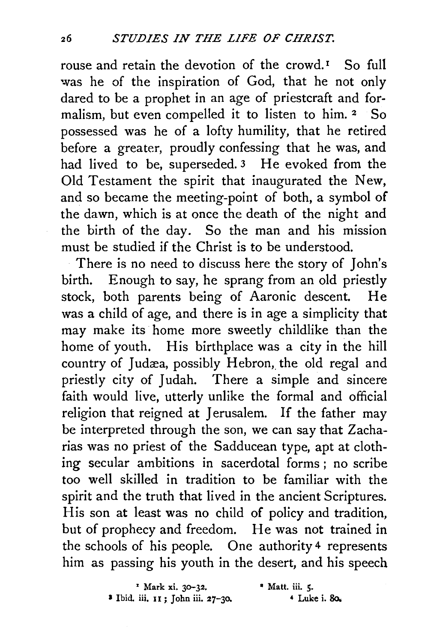rouse and retain the devotion of the crowd.<sup>1</sup> So full was he of the inspiration of God, that he not only dared to be a prophet in an age of priestcraft and formalism, but even compelled it to listen to him. 2 So possessed was he of a lofty humility, that he retired before a greater, proudly confessing that he was, and had lived to be, superseded.<sup>3</sup> He evoked from the Old Testament the spirit that inaugurated the New, and so became the meeting-point of both, a symbol of the dawn, which is at once the death of the night and the birth of the day. So the man and his mission must be studied if the Christ is to be understood.

There is no need to discuss here the story of John's birth. Enough to say, he sprang from an old priestly stock, both parents being of Aaronic descent. He was a child of age, and there is in age a simplicity that may make its home more sweetly childlike than the home of youth. His birthplace was a city in the hill country of Judæa, possibly Hebron, the old regal and priestly city of Judah. There a simple and sincere faith would live, utterly unlike the formal and official religion that reigned at Jerusalem. If the father may be interpreted through the son, we can say that Zacharias was no priest of the Sadducean type, apt at clothing secular ambitions in sacerdotal forms ; no scribe too well skilled in tradition to be familiar with the spirit and the truth that lived in the ancient Scriptures. His son at least was no child of policy and tradition, but of prophecy and freedom. He was not trained in the schools of his people. One authority 4 represents him as passing his youth in the desert, and his speech

| <sup>2</sup> Mark xi. 30-32.       | $\cdot$ Matt. iii. 5. |
|------------------------------------|-----------------------|
| 3 Ibid. iii. 11 ; John iii. 27–30. | $4$ Luke i. 80.       |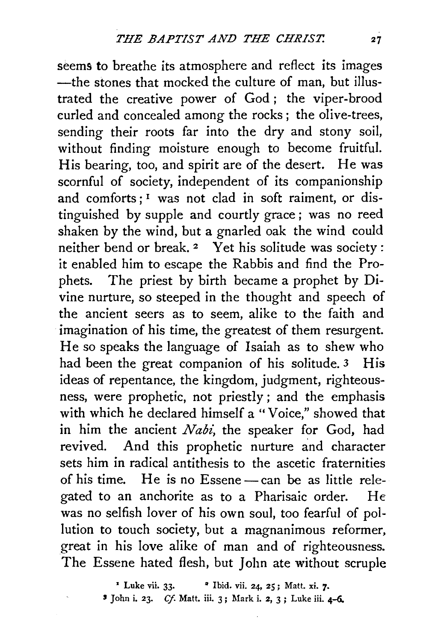seems to breathe its atmosphere and reflect its images -the stones that mocked the culture of man, but illustrated the creative power of God; the viper-brood curled and concealed among the rocks ; the olive-trees, sending their roots far into the dry and stony soil, without finding moisture enough to become fruitful. His bearing, too, and spirit are of the desert. He was scornful of society, independent of its companionship and comforts:<sup>1</sup> was not clad in soft raiment, or distinguished by supple and courtly grace ; was no reed shaken by the wind, but a gnarled oak the wind could neither bend or break. 2 Yet his solitude was society : it enabled him to escape the Rabbis and find the Prophets. The priest by birth became a prophet by Divine nurture, so steeped in the thought and speech of the ancient seers as to seem, alike to the faith and imagination of his time, the greatest of them resurgent. He so speaks the language of Isaiah as to shew who had been the great companion of his solitude. 3 His ideas of repentance, the kingdom, judgment, righteousness, were prophetic, not priestly ; and the emphasis with which he declared himself a " Voice," showed that in him the ancient *Nabi*, the speaker for God, had revived. And this prophetic nurture and character sets him in radical antithesis to the ascetic fraternities of his time. He is no Essene $-$  can be as little relegated to an anchorite as to a Pharisaic order. He was no selfish lover of his own soul, too fearful of pollution to touch society, but a magnanimous reformer, great in his love alike of man and of righteousness. The Essene hated flesh, but John ate without scruple

> <sup>1</sup> Luke vii. 33. • <sup>2</sup> Ibid. vii. 24, 25; Matt. xi. 7. ' John i. 23. *Cf.* Matt. iii. 3; Mark i. 2, 3 ; Luke iii. 4-6..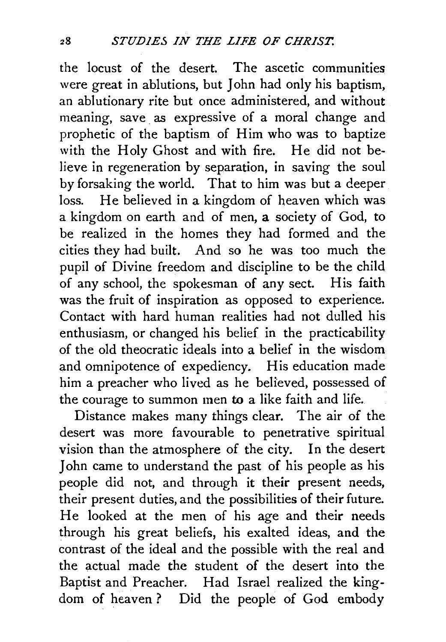the locust of the desert. The ascetic communities were great in ablutions, but John had only his baptism, an ablutionary rite but once administered, and without meaning, save. as expressive of a moral change and prophetic of the baptism of Him who was to baptize with the Holy Ghost and with fire. He did not believe in regeneration by separation, in saving the soul by forsaking the world. That to him was but a deeper loss. He believed in a kingdom of heaven which was a kingdom on earth and of men, a society of God, to be realized in the homes they had formed and the cities they had built. And so he was too much the pupil of Divine freedom and discipline to be the child of any school, the spokesman of any sect. His faith was the fruit of inspiration as opposed to experience. Contact with hard human realities had not dulled his enthusiasm, or changed his belief in the practicability of the old theocratic ideals into a belief in the wisdom and omnipotence of expediency. His education made him a preacher who lived as he believed, possessed of the courage to summon men to a like faith and life.

Distance makes many things clear. The air of the desert was more favourable to penetrative spiritual vision than the atmosphere of the city. In the desert John came to understand the past of his people as his people did not, and through it their present needs, their present duties, and the possibilities of their future. He looked at the men of his age and their needs through his great beliefs, his exalted ideas, and the contrast of the ideal and the possible with the real and the actual made the student of the desert into the Baptist and Preacher. Had Israel realized the kingdom of heaven? Did the people of God embody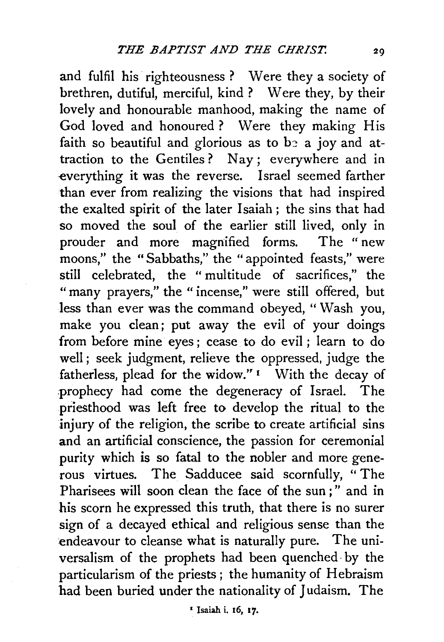and fulfil his righteousness ? Were they a society of brethren, dutiful, merciful, kind ? Were they, by their lovely and honourable manhood, making the name of God loved and honoured? Were they making His faith so beautiful and glorious as to  $b$  a joy and attraction to the Gentiles ? Nay ; everywhere and in everything it was the reverse. Israel seemed farther than ever from realizing the visions that had inspired the exalted spirit of the later Isaiah; the sins that had so moved the soul of the earlier still lived, only in prouder and more magnified forms. The " new moons," the "Sabbaths," the "appointed feasts," were still celebrated, the " multitude of sacrifices," the "many prayers," the "incense," were still offered, but less than ever was the command obeyed, "Wash you, make you clean; put away the evil of your doings from before mine eyes ; cease to do evil ; learn to do well; seek judgment, relieve the oppressed, judge the fatherless, plead for the widow." 1 With the decay of .prophecy had come the degeneracy of Israel. The priesthood was left free to develop the ritual to the injury of the religion, the scribe to create artificial sins and an artificial conscience, the passion for ceremonial purity which is so fatal to the nobler and more generous virtues. The Sadducee said scornfully, " The Pharisees will soon clean the face of the sun ; " and in his scorn he expressed this truth, that there is no surer sign of a decayed ethical and religious sense than the endeavour to cleanse what is naturally pure. The universalism of the prophets had been quenched· by the particularism of the priests ; the humanity of Hebraism had been buried under the nationality of Judaism. The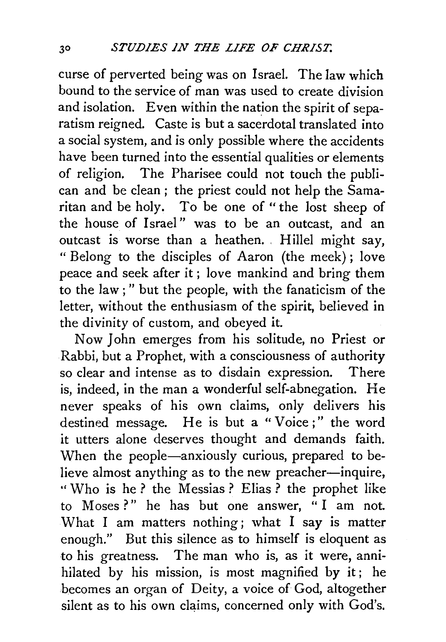curse of perverted being was on Israel. The law which bound to the service of man was used to create division and isolation. Even within the nation the spirit of separatism reigned. Caste is but a sacerdotal translated into a social system, and is only possible where the accidents have been turned into the essential qualities or elements of religion. The Pharisee could not touch the publican and be clean; the priest could not help the Samaritan and be holy. To be one of "the lost sheep of the house of Israel" was to be an outcast, and an outcast is worse than a heathen. Hillel might say, "Belong to the disciples of Aaron (the meek); love peace and seek after it ; love mankind and bring them to the law ; " but the people, with the fanaticism of the letter, without the enthusiasm of the spirit, believed in the divinity of custom, and obeyed it.

Now John emerges from his solitude, no Priest or Rabbi, but a Prophet, with a consciousness of authority so clear and intense as to disdain expression. There is, indeed, in the man a wonderful self-abnegation. He never speaks of his own claims, only delivers his destined message. He is but a "Voice;" the word it utters alone deserves thought and demands faith. When the people—anxiously curious, prepared to believe almost anything as to the new preacher-inquire, '' Who is he ? the Messias ? Elias ? the prophet like to Moses?" he has but one answer, "I am not. What I am matters nothing; what I say is matter enough." But this silence as to himself is eloquent as to his greatness. The man who is, as it were, annihilated by his mission, is most magnified by it ; he becomes an organ of Deity, a voice of God, altogether silent as to his own claims, concerned only with God's.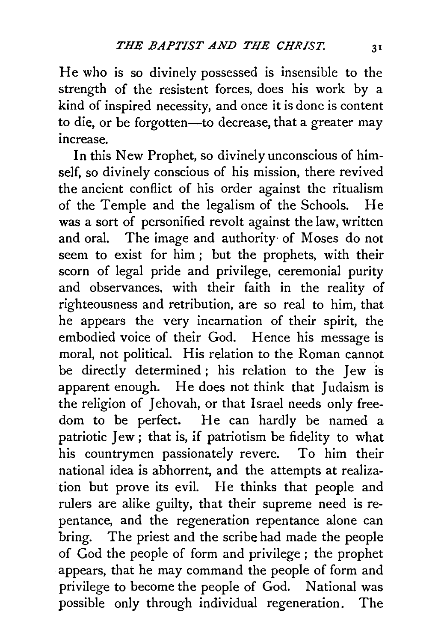He who is so divinely possessed is insensible to the strength of the resistent forces, does his work by a kind of inspired necessity, and once it is done is content to die, or be forgotten-to decrease, that a greater may increase

In this New Prophet, so divinely unconscious of himself, so divinely conscious of his mission, there revived the ancient conflict of his order against the ritualism of the Temple and the legalism of the Schools. He was a sort of personified revolt against the law, written and oral. The image and authority· of Moses do not seem to exist for him ; but the prophets, with their scorn of legal pride and privilege, ceremonial purity and observances. with their faith in the reality of righteousness and retribution, are so real to him, that he appears the very incarnation of their spirit, the embodied voice of their God. Hence his message is moral, not political. His relation to the Roman cannot be directly determined ; his relation to the Jew is apparent enough. He does not think that Judaism is the religion of Jehovah, or that Israel needs only freedom to be perfect. He can hardly be named a patriotic Jew ; that is, if patriotism be fidelity to what his countrymen passionately revere. To him their national idea is abhorrent, and the attempts at realization but prove its evil. He thinks that people and rulers are alike guilty, that their supreme need is repentance, and the regeneration repentance alone can bring. The priest and the scribe had made the people of God the people of form and privilege ; the prophet appears, that he may command the people of form and privilege to become the people of God. National was possible only through individual regeneration. The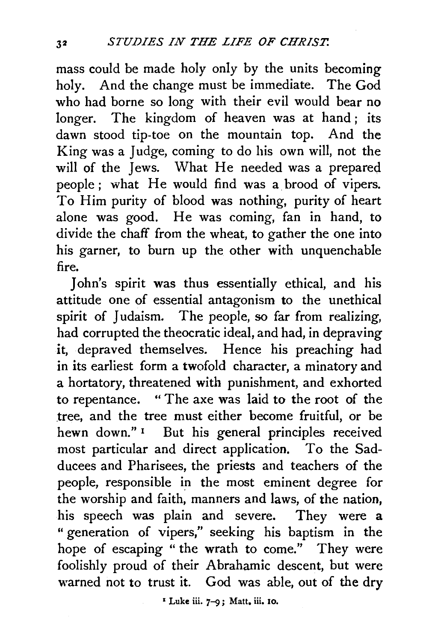mass could be made holy only by the units becoming holy. And the change must be immediate. The God who had borne so long with their evil would bear no longer. The kingdom of heaven was at hand; its dawn stood tip-toe on the mountain top. And the King was a Judge, coming to do his own will, not the will of the Jews. What He needed was a prepared people; what He would find was a brood of vipers. To Him purity of blood was nothing, purity of heart alone was good. He was coming, fan in hand, to divide the chaff from the wheat, to gather the one into his garner, to burn up the other with unquenchable fire.

John's spirit was thus essentially ethical, and his attitude one of essential antagonism to the unethical spirit of Judaism. The people, so far from realizing, had corrupted the theocratic ideal, and had, in depraving it, depraved themselves. Hence his preaching had in its earliest form a twofold character, a minatory and a hortatory, threatened with punishment, and exhorted to repentance. " The axe was laid to the root of the tree, and the tree must either become fruitful, or be hewn down."<sup>1</sup> But his general principles received most particular and direct application. To the Sadducees and Pharisees, the priests and teachers of the people, responsible in the most eminent degree for the worship and faith, manners and laws, of the nation, his speech was plain and severe. They were a "generation of vipers," seeking his baptism in the hope of escaping " the wrath to come." They were foolishly proud of their Abrahamic descent, but were warned not to trust it. God was able, out of the dry

• Luke iii. 7-9 ; Matt. iii. 10.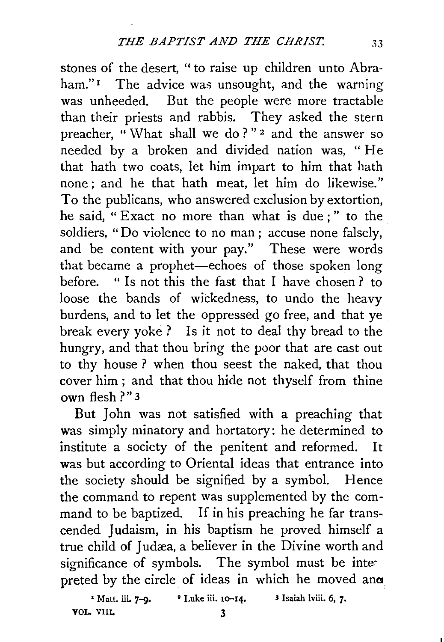stones of the desert, " to raise up children unto Abraham."<sup>I</sup> The advice was unsought, and the warning was unheeded. But the people were more tractable than their priests and rabbis. They asked the stern preacher, " What shall we do ? " 2 and the answer so needed by a broken and divided nation was, " He that bath two coats, let him impart to him that hath none; and he that hath meat, let him do likewise." To the publicans, who answered exclusion by extortion, he said, " Exact no more than what is due ; " to the soldiers, "Do violence to no man ; accuse none falsely, and be content with your pay." These were words that became a prophet-echoes of those spoken long before. " Is not this the fast that I have chosen ? to loose the bands of wickedness, to undo the heavy burdens, and to let the oppressed go free, and that ye break every yoke? Is it not to deal thy bread to the hungry, and that thou bring the poor that are cast out to thy house? when thou seest the naked, that thou cover him ; and that thou hide not thyself from thine own flesh ?" 3

But John was not satisfied with a preaching that was simply minatory and hortatory: he determined to institute a society of the penitent and reformed. It was but according to Oriental ideas that entrance into the society should be signified by a symbol. Hence the command to repent was supplemented by the command to be baptized. If in his preaching he far transcended Judaism, in his baptism he proved himself a true child of Judæa, a believer in the Divine worth and significance of symbols. The symbol must be intepreted by the circle of ideas in which he moved ana

<sup>1</sup> Matt. iii. 7–9. <sup>2</sup> Luke iii. 10–14. <sup>3</sup> Isaiah lviii. 6, 7. VOL VIIL 3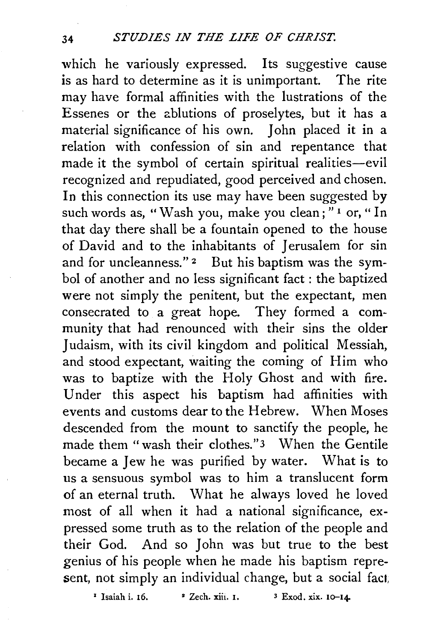which he variously expressed. Its suggestive cause is as hard to determine as it is unimportant. The rite may have formal affinities with the lustrations of the Essenes or the ablutions of proselytes, but it has a material significance of his own. John placed it in a relation with confession of sin and repentance that made it the symbol of certain spiritual realities-evil recognized and repudiated, good perceived and chosen. In this connection its use may have been suggested by such words as, "Wash you, make you clean; " 1 or, " In that day there shall be a fountain opened to the house of David and to the inhabitants of Jerusalem for sin and for uncleanness."<sup>2</sup> But his baptism was the symbol of another and no less significant fact : the baptized were not simply the penitent, but the expectant, men consecrated to a great hope. They formed a community that had renounced with their sins the older *1* udaism, with its civil kingdom and political Messiah, and stood expectant, waiting the coming of Him who was to baptize with the Holy Ghost and with fire. Under this aspect his baptism had affinities with events and customs dear to the Hebrew. When Moses descended from the mount to sanctify the people, he made them "wash their clothes."3 When the Gentile became a Jew he was purified by water. What is to us a sensuous symbol was to him a translucent form of an eternal truth. What he always loved he loved most of all when it had a national significance, expressed some truth as to the relation of the people and their God. And so John was but true to the best genius of his people when he made his baptism represent, not simply an individual change, but a social fact,

 $1$  Isaiah i. 16.  $2$  Zech. xiii. 1.  $3$  Exod. xix. 10-14.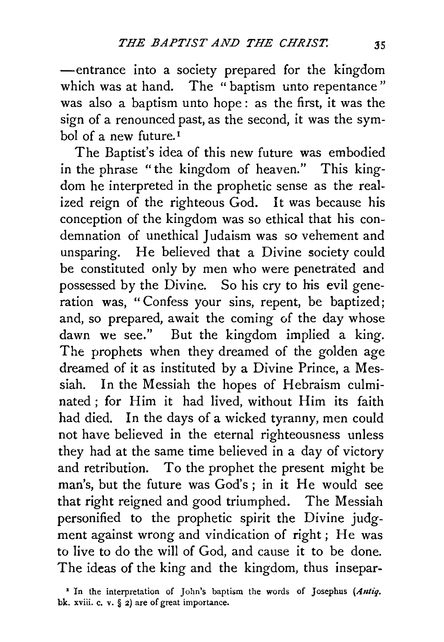-entrance into a society prepared for the kingdom which was at hand. The "baptism unto repentance" was also a baptism unto hope: as the first, it was the sign of a renounced past, as the second, it was the symbol of a new future. 1

The Baptist's idea of this new future was embodied in the phrase "the kingdom of heaven." This kingdom he interpreted in the prophetic sense as the realized reign of the righteous God. It was because his conception of the kingdom was so ethical that his condemnation of unethical Judaism was so vehement and unsparing. He believed that a Divine society could be constituted only by men who were penetrated and possessed by the Divine. So his cry to his evil generation was, " Confess your sins, repent, be baptized; and, so prepared, await the coming of the day whose dawn we see." But the kingdom implied a king. The prophets when they dreamed of the golden age dreamed of it as instituted by a Divine Prince, a Messiah. In the Messiah the hopes of Hebraism culminated ; for Him it had lived, without Him its faith had died. In the days of a wicked tyranny, men could not have believed in the eternal righteousness unless they had at the same time believed in a day of victory and retribution. To the prophet the present might be man's, but the future was God's ; in it He would see that right reigned and good triumphed. The Messiah personified to the prophetic spirit the Divine judgment against wrong and vindication of right ; He was to live to do the will of God, and cause it to be done. The ideas of the king and the kingdom, thus insepar-

<sup>&</sup>lt;sup>1</sup> In the interpretation of John's baptism the words of Josephus (Antiq. bk. xviii. c. v. § 2) are of great importance.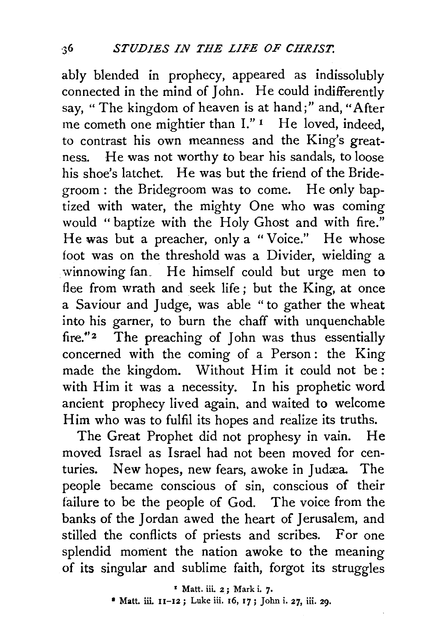ably blended in prophecy, appeared as indissolubly connected in the mind of John. He could indifferently say, " The kingdom of heaven is at hand;" and, "After me cometh one mightier than I."<sup>1</sup> He loved, indeed, to contrast his own meanness and the King's greatness. He was not worthy to bear his sandals, to loose his shoe's latchet. He was but the friend of the Bridegroom: the Bridegroom was to come. He only baptized with water, the mighty One who was coming would "baptize with the Holy Ghost and with fire." He was but a preacher, only a "Voice." He whose foot was on the threshold was a Divider, wielding a winnowing fan. He himself could but urge men to flee from wrath and seek life ; but the King, at once a Saviour and Judge, was able "to gather the wheat into his garner, to burn the chaff with unquenchable fire."<sup>2</sup> The preaching of John was thus essentially concerned with the coming of a Person : the King made the kingdom. Without Him it could not be: with Him it was a necessity. In his prophetic word ancient prophecy lived again, and waited to welcome Him who was to fulfil its hopes and realize its truths.

The Great Prophet did not prophesy in vain. He moved Israel as Israel had not been moved for centuries. New hopes, new fears, awoke in Judæa. The people became conscious of sin, conscious of their failure to be the people of God. The voice from the banks of the Jordan awed the heart of Jerusalem, and stilled the conflicts of priests and scribes. For one splendid moment the nation awoke to the meaning of its singular and sublime faith, forgot its struggles

<sup>1</sup> Matt. iii. 2; Mark i. 7.

• Matt. iii. 11-12; Luke iii. 16, 17; John i. 27, iii. 29.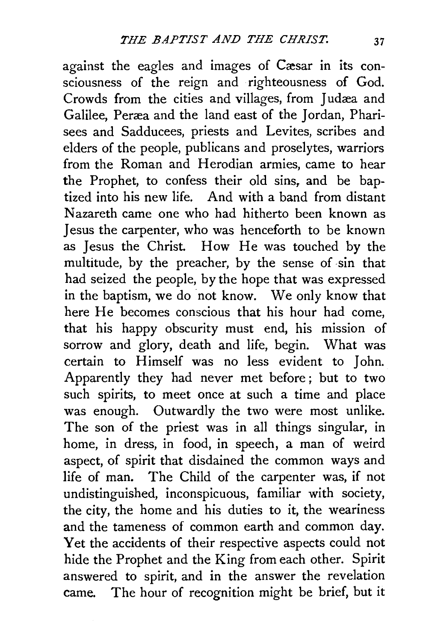against the eagles and images of Cæsar in its consciousness of the reign and righteousness of God. Crowds from the cities and villages, from Judæa and Galilee, Peræa and the land east of the Jordan, Pharisees and Sadducees, priests and Levites, scribes and elders of the people, publicans and proselytes, warriors from the Roman and Herodian armies, came to hear the Prophet, to confess their old sins, and be baptized into his new life. And with a band from distant Nazareth came one who had hitherto been known as Jesus the carpenter, who was henceforth to be known as Jesus the Christ. How He was touched by the multitude, by the preacher, by the sense of sin that had seized the people, by the hope that was expressed in the baptism, we do not know. We only know that here He becomes conscious that his hour had come, that his happy obscurity must end, his mission of sorrow and glory, death and life, begin. What was certain to Himself was no less evident to John. Apparently they had never met before ; but to two such spirits, to meet once at such a time and place was enough. Outwardly the two were most unlike. The son of the priest was in all things singular, in home, in dress, in food, in speech, a man of weird aspect, of spirit that disdained the common ways and life of man. The Child of the carpenter was, if not undistinguished, inconspicuous, familiar with society, the city, the home and his duties to it, the weariness and the tameness of common earth and common day. Yet the accidents of their respective aspects could not hide the Prophet and the King from each other. Spirit answered to spirit, and in the answer the revelation came. The hour of recognition might be brief, but it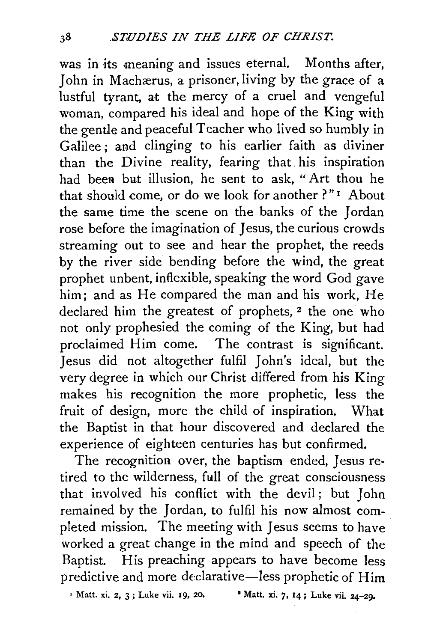was in its meaning and issues eternal. Months after, John in Machaerus, a prisoner, living by the grace of a lustful tyrant, at the mercy of a cruel and vengeful woman, compared his ideal and hope of the King with the gentle and peaceful Teacher who lived so humbly in Galilee; and clinging to his earlier faith as diviner than the Divine reality, fearing that. his inspiration had been but illusion, he sent to ask, "Art thou he that should come, or do we look for another ?"<sup>1</sup> About the same time the scene on the banks of the Jordan rose before the imagination of Jesus, the curious crowds streaming out to see and hear the prophet, the reeds by the river side bending before the wind, the great prophet unbent, inflexible, speaking the word God gave him; and as He compared the man and his work, He declared him the greatest of prophets,<sup>2</sup> the one who not only prophesied the coming of the King, but had proclaimed Him come. The contrast is significant. Jesus did not altogether fulfil John's ideal, but the very degree in which our Christ differed from his King makes his recognition the more prophetic, less the fruit of design, more the child of inspiration. What the Baptist in that hour discovered and declared the experience of eighteen centuries has but confirmed.

The recognition over, the baptism ended, Jesus retired to the wilderness, full of the great consciousness that involved his conflict with the devil; but John remained by the Jordan, to fulfil his now almost completed mission. The meeting with Jesus seems to have worked a great change in the mind and speech of the Baptist. His preaching appears to have become less predictive and more declarative-less prophetic of  $\text{Him}$ 

• Matt. xi. 2, 3; Luke vii. 19, 20. • Matt. xi. 7, 14; Luke vii. 24-29-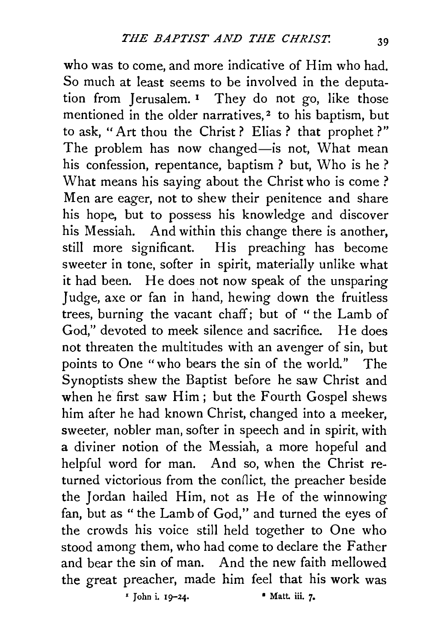who was to come, and more indicative of Him who had. So much at least seems to be involved in the deputation from Jerusalem. 1 They do not go, like those mentioned in the older narratives,<sup>2</sup> to his baptism, but to ask, "Art thou the Christ? Elias ? that prophet?" The problem has now changed-is not, What mean his confession, repentance, baptism ? but, Who is he ? What means his saying about the Christ who is come ? Men are eager, not to shew their penitence and share his hope, but to possess his knowledge and discover his Messiah. And within this change there is another, still more significant. His preaching has become sweeter in tone, softer in spirit, materially unlike what it had been. He does not now speak of the unsparing Judge, axe or fan in hand, hewing down the fruitless trees, burning the vacant chaff; but of "the Lamb of God," devoted to meek silence and sacrifice. He does not threaten the multitudes with an avenger of sin, but points to One "who bears the sin of the world." The Synoptists shew the Baptist before he saw Christ and when he first saw Him ; but the Fourth Gospel shews him after he had known Christ, changed into a meeker, sweeter, nobler man, softer in speech and in spirit, with a diviner notion of the Messiah, a more hopeful and helpful word for man. And so, when the Christ returned victorious from the conflict, the preacher beside the Jordan hailed Him, not as He of the winnowing fan, but as "the Lamb of God," and turned the eyes of the crowds his voice still held together to One who stood among them, who had come to declare the Father and bear the sin of man. And the new faith mellowed the great preacher, made him feel that his work was *•* John i. 19-24. • Matt. iii. 7•